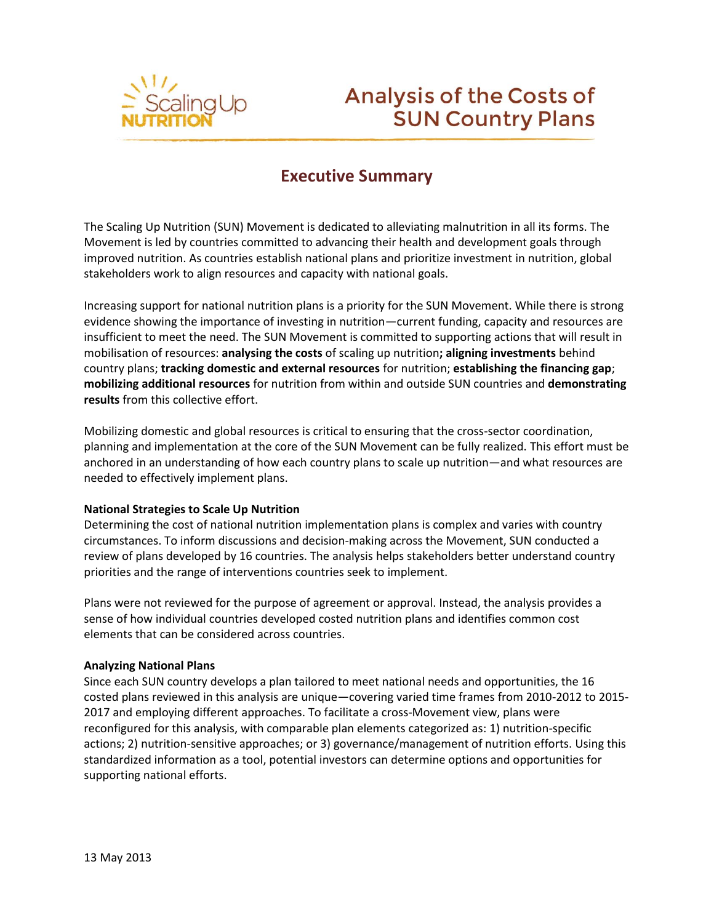

# **Analysis of the Costs of SUN Country Plans**

## **Executive Summary**

The Scaling Up Nutrition (SUN) Movement is dedicated to alleviating malnutrition in all its forms. The Movement is led by countries committed to advancing their health and development goals through improved nutrition. As countries establish national plans and prioritize investment in nutrition, global stakeholders work to align resources and capacity with national goals.

Increasing support for national nutrition plans is a priority for the SUN Movement. While there is strong evidence showing the importance of investing in nutrition—current funding, capacity and resources are insufficient to meet the need. The SUN Movement is committed to supporting actions that will result in mobilisation of resources: **analysing the costs** of scaling up nutrition**; aligning investments** behind country plans; **tracking domestic and external resources** for nutrition; **establishing the financing gap**; **mobilizing additional resources** for nutrition from within and outside SUN countries and **demonstrating results** from this collective effort.

Mobilizing domestic and global resources is critical to ensuring that the cross-sector coordination, planning and implementation at the core of the SUN Movement can be fully realized. This effort must be anchored in an understanding of how each country plans to scale up nutrition—and what resources are needed to effectively implement plans.

#### **National Strategies to Scale Up Nutrition**

Determining the cost of national nutrition implementation plans is complex and varies with country circumstances. To inform discussions and decision-making across the Movement, SUN conducted a review of plans developed by 16 countries. The analysis helps stakeholders better understand country priorities and the range of interventions countries seek to implement.

Plans were not reviewed for the purpose of agreement or approval. Instead, the analysis provides a sense of how individual countries developed costed nutrition plans and identifies common cost elements that can be considered across countries.

#### **Analyzing National Plans**

Since each SUN country develops a plan tailored to meet national needs and opportunities, the 16 costed plans reviewed in this analysis are unique—covering varied time frames from 2010-2012 to 2015- 2017 and employing different approaches. To facilitate a cross-Movement view, plans were reconfigured for this analysis, with comparable plan elements categorized as: 1) nutrition-specific actions; 2) nutrition-sensitive approaches; or 3) governance/management of nutrition efforts. Using this standardized information as a tool, potential investors can determine options and opportunities for supporting national efforts.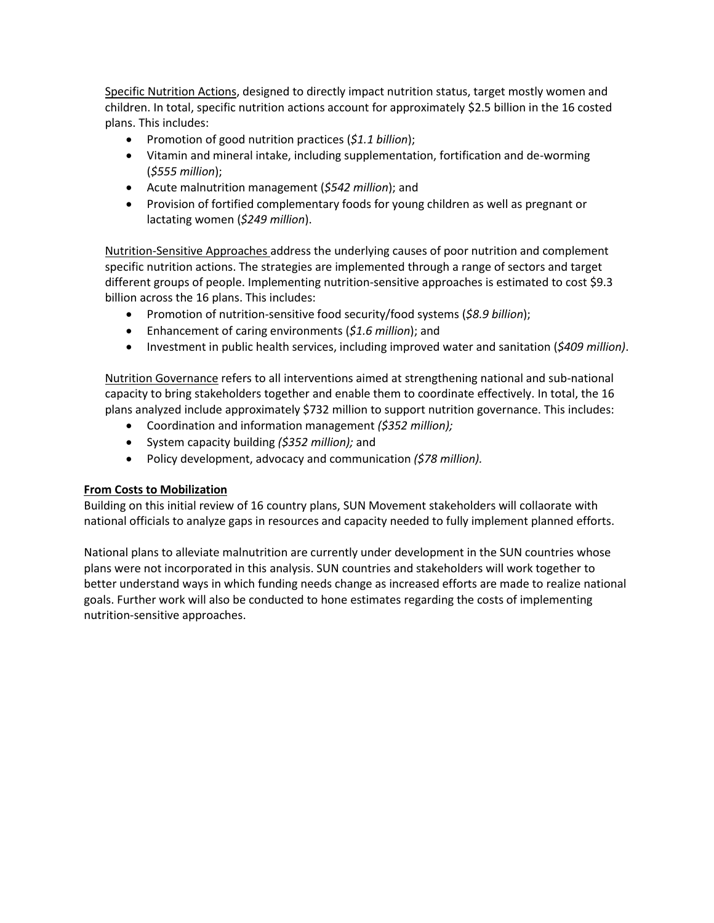Specific Nutrition Actions, designed to directly impact nutrition status, target mostly women and children. In total, specific nutrition actions account for approximately \$2.5 billion in the 16 costed plans. This includes:

- Promotion of good nutrition practices (*\$1.1 billion*);
- Vitamin and mineral intake, including supplementation, fortification and de-worming (*\$555 million*);
- Acute malnutrition management (*\$542 million*); and
- Provision of fortified complementary foods for young children as well as pregnant or lactating women (*\$249 million*).

Nutrition-Sensitive Approaches address the underlying causes of poor nutrition and complement specific nutrition actions. The strategies are implemented through a range of sectors and target different groups of people. Implementing nutrition-sensitive approaches is estimated to cost \$9.3 billion across the 16 plans. This includes:

- Promotion of nutrition-sensitive food security/food systems (*\$8.9 billion*);
- Enhancement of caring environments (*\$1.6 million*); and
- Investment in public health services, including improved water and sanitation (*\$409 million)*.

Nutrition Governance refers to all interventions aimed at strengthening national and sub-national capacity to bring stakeholders together and enable them to coordinate effectively. In total, the 16 plans analyzed include approximately \$732 million to support nutrition governance. This includes:

- Coordination and information management *(\$352 million);*
- System capacity building *(\$352 million);* and
- Policy development, advocacy and communication *(\$78 million).*

### **From Costs to Mobilization**

Building on this initial review of 16 country plans, SUN Movement stakeholders will collaorate with national officials to analyze gaps in resources and capacity needed to fully implement planned efforts.

National plans to alleviate malnutrition are currently under development in the SUN countries whose plans were not incorporated in this analysis. SUN countries and stakeholders will work together to better understand ways in which funding needs change as increased efforts are made to realize national goals. Further work will also be conducted to hone estimates regarding the costs of implementing nutrition-sensitive approaches.